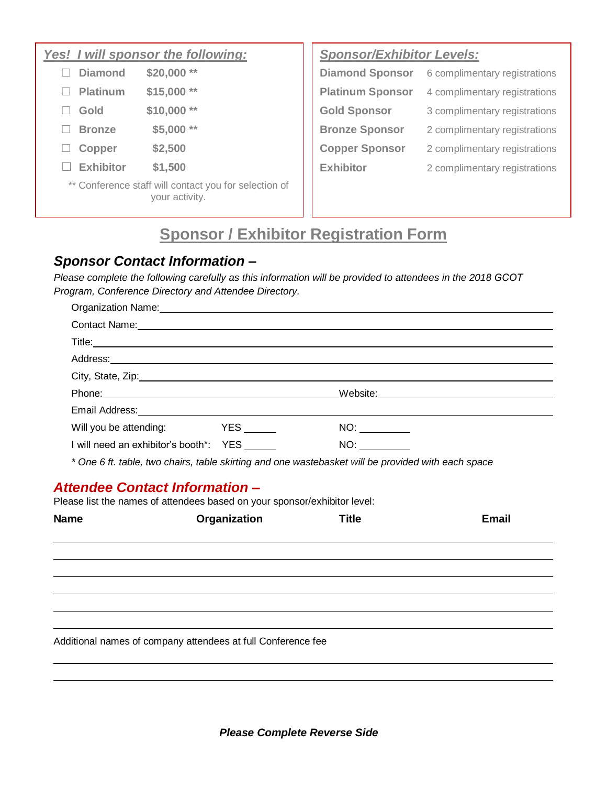#### *Yes! I will sponsor the following:*

|        | $\Box$ Diamond   | $$20,000$ **                                                            |
|--------|------------------|-------------------------------------------------------------------------|
|        | $\Box$ Platinum  | \$15,000<br>**                                                          |
| $\Box$ | Gold             | \$10,000                                                                |
|        | <b>Bronze</b>    | \$5,000<br>**                                                           |
| ப      | Copper           | \$2,500                                                                 |
|        | $\Box$ Exhibitor | \$1,500                                                                 |
|        |                  | ** Conference staff will contact you for selection of<br>your activity. |

*Sponsor/Exhibitor Levels:*

| <b>Diamond Sponsor</b>  | 6 complimentary registrations |
|-------------------------|-------------------------------|
| <b>Platinum Sponsor</b> | 4 complimentary registrations |
| <b>Gold Sponsor</b>     | 3 complimentary registrations |
| <b>Bronze Sponsor</b>   | 2 complimentary registrations |
| <b>Copper Sponsor</b>   | 2 complimentary registrations |
| <b>Exhibitor</b>        | 2 complimentary registrations |

# **Sponsor / Exhibitor Registration Form**

## *Sponsor Contact Information –*

*Please complete the following carefully as this information will be provided to attendees in the 2018 GCOT Program, Conference Directory and Attendee Directory.*

| Organization Name: 1988 Manual Manual Manual Manual Manual Manual Manual Manual Manual Manual Manual Manual Ma                                                                                                                 |  |                                                                                                                                                                                                                                     |  |  |
|--------------------------------------------------------------------------------------------------------------------------------------------------------------------------------------------------------------------------------|--|-------------------------------------------------------------------------------------------------------------------------------------------------------------------------------------------------------------------------------------|--|--|
| Contact Name: <u>contact Name</u>                                                                                                                                                                                              |  |                                                                                                                                                                                                                                     |  |  |
|                                                                                                                                                                                                                                |  |                                                                                                                                                                                                                                     |  |  |
|                                                                                                                                                                                                                                |  | Address: <u>Address:</u> Address: Address: Address: Address: Address: Address: Address: Address: Address: Address: Address: Address: Address: Address: Address: Address: Address: Address: Address: Address: Address: Address: Addr |  |  |
|                                                                                                                                                                                                                                |  | City, State, Zip: 2008. Example 2008. The State of Table 2008. The State of Table 2008. The State of Table 200                                                                                                                      |  |  |
| Phone: Note and the second state of the second state of the second state of the second state of the second state of the second state of the second state of the second state of the second state of the second state of the se |  | Website: New York State State State State State State State State State State State State State State State State State State State State State State State State State State State State State State State State State State       |  |  |
|                                                                                                                                                                                                                                |  |                                                                                                                                                                                                                                     |  |  |
| Will you be attending: YES _______                                                                                                                                                                                             |  | NO:                                                                                                                                                                                                                                 |  |  |
| I will need an exhibitor's booth*: YES                                                                                                                                                                                         |  | NO: and the state of the state of the state of the state of the state of the state of the state of the state of the state of the state of the state of the state of the state of the state of the state of the state of the st      |  |  |
| * One 6 ft. table, two chairs, table skirting and one wastebasket will be provided with each space                                                                                                                             |  |                                                                                                                                                                                                                                     |  |  |

## *Attendee Contact Information –*

Please list the names of attendees based on your sponsor/exhibitor level:

| <b>Name</b> | Organization                                                 | <b>Title</b> | <b>Email</b> |
|-------------|--------------------------------------------------------------|--------------|--------------|
|             |                                                              |              |              |
|             |                                                              |              |              |
|             |                                                              |              |              |
|             |                                                              |              |              |
|             |                                                              |              |              |
|             | Additional names of company attendees at full Conference fee |              |              |
|             |                                                              |              |              |